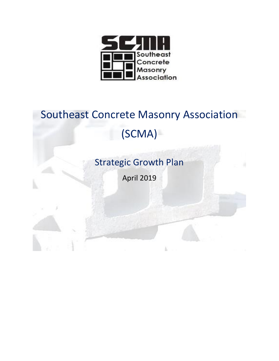

# Southeast Concrete Masonry Association (SCMA)

Strategic Growth Plan

April 2019

k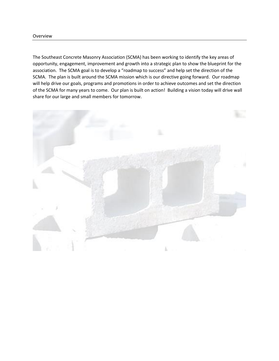The Southeast Concrete Masonry Association (SCMA) has been working to identify the key areas of opportunity, engagement, improvement and growth into a strategic plan to show the blueprint for the association. The SCMA goal is to develop a "roadmap to success" and help set the direction of the SCMA. The plan is built around the SCMA mission which is our directive going forward. Our roadmap will help drive our goals, programs and promotions in order to achieve outcomes and set the direction of the SCMA for many years to come. Our plan is built on action! Building a vision today will drive wall share for our large and small members for tomorrow.

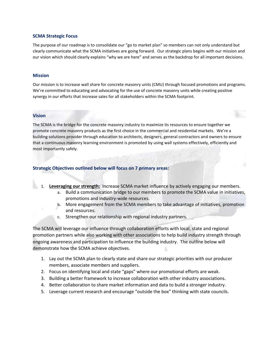#### **SCMA Strategic Focus**

The purpose of our roadmap is to consolidate our "go to market plan" so members can not only understand but clearly communicate what the SCMA initiatives are going forward. Our strategic plans begins with our mission and our vision which should clearly explains "why we are here" and serves as the backdrop for all important decisions.

#### **Mission**

Our mission is to increase wall share for concrete masonry units (CMU) through focused promotions and programs. We're committed to educating and advocating for the use of concrete masonry units while creating positive synergy in our efforts that increase sales for all stakeholders within the SCMA footprint.

#### **Vision**

The SCMA is the bridge for the concrete masonry industry to maximize its resources to ensure together we promote concrete masonry products as the first choice in the commercial and residential markets. We're a building solutions provider through education to architects, designers, general contractors and owners to ensure that a continuous masonry learning environment is promoted by using wall systems effectively, efficiently and most importantly safely.

## **Strategic Objectives outlined below will focus on 7 primary areas:**

- 1. **Leveraging our strength:** Increase SCMA market influence by actively engaging our members.
	- a. Build a communication bridge to our members to promote the SCMA value in initiatives, promotions and industry-wide resources.
	- b. More engagement from the SCMA members to take advantage of initiatives, promotion and resources.
	- c. Strengthen our relationship with regional industry partners.

The SCMA will leverage our influence through collaboration efforts with local, state and regional promotion partners while also working with other associations to help build industry strength through ongoing awareness and participation to influence the building industry. The outline below will demonstrate how the SCMA achieve objectives.

- 1. Lay out the SCMA plan to clearly state and share our strategic priorities with our producer members, associate members and suppliers.
- 2. Focus on identifying local and state "gaps" where our promotional efforts are weak.
- 3. Building a better framework to increase collaboration with other industry associations.
- 4. Better collaboration to share market information and data to build a stronger industry.
- 5. Leverage current research and encourage "outside the box" thinking with state councils.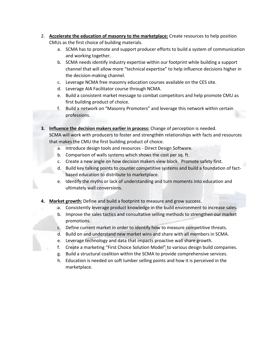- 2. **Accelerate the education of masonry to the marketplace:** Create resources to help position CMUs as the first choice of building materials.
	- a. SCMA has to promote and support producer efforts to build a system of communication and working together.
	- b. SCMA needs identify industry expertise within our footprint while building a support channel that will allow more "technical expertise" to help influence decisions higher in the decision-making channel.
	- c. Leverage NCMA free masonry education courses available on the CES site.
	- d. Leverage AIA Facilitator course through NCMA.
	- e. Build a consistent market message to combat competitors and help promote CMU as first building product of choice.
	- f. Build a network on "Masonry Promoters" and leverage this network within certain professions.

**3. Influence the decision makers earlier in process:** Change of perception is needed. SCMA will work with producers to foster and strengthen relationships with facts and resources that makes the CMU the first building product of choice.

- a. Introduce design tools and resources Direct Design Software.
- b. Comparison of walls systems which shows the cost per sq. ft.
- c. Create a new angle on how decision makers view block. Promote safety first.
- d. Build key talking points to counter competitive systems and build a foundation of factbased education to distribute to marketplace.
- e. Identify the myths or lack of understanding and turn moments into education and ultimately wall conversions.
- **4. Market growth:** Define and build a footprint to measure and grow success.
	- a. Consistently leverage product knowledge in the build environment to increase sales.
		- b. Improve the sales tactics and consultative selling methods to strengthen our market promotions.
	- c. Define current market in order to identify how to measure competitive threats.
	- d. Build on and understand new market wins and share with all members in SCMA.
	- e. Leverage technology and data that impacts proactive wall share growth.
	- f. Create a marketing "First Choice Solution Model" to various design build companies.
	- g. Build a structural coalition within the SCMA to provide comprehensive services.
	- h. Education is needed on soft lumber selling points and how it is perceived in the marketplace.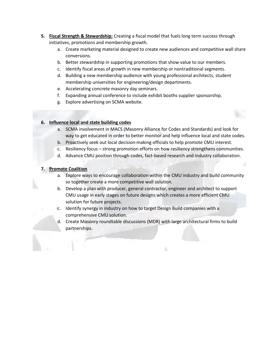- **5. Fiscal Strength & Stewardship:** Creating a fiscal model that fuels long term success through initiatives, promotions and membership growth.
	- a. Create marketing material designed to create new audiences and competitive wall share conversions.
	- b. Better stewardship in supporting promotions that show value to our members.
	- c. Identify fiscal areas of growth in new membership or nontraditional segments.
	- d. Building a new membership audience with young professional architects, student membership universities for engineering/design departments.
	- e. Accelerating concrete masonry day seminars.
	- f. Expanding annual conference to include exhibit booths supplier sponsorship.
	- g. Explore advertising on SCMA website.

## **6. Influence local and state building codes**

- a. SCMA involvement in MACS (Masonry Alliance for Codes and Standards) and look for way to get educated in order to better monitor and help influence local and state codes.
- b. Proactively seek out local decision-making officials to help promote CMU interest.
- c. Resiliency focus strong promotion efforts on how resiliency strengthens communities.
- d. Advance CMU position through codes, fact-based research and industry collaboration.

## **7. Promote Coalition**

- a. Explore ways to encourage collaboration within the CMU industry and build community so together create a more competitive wall solution.
- b. Develop a plan with producer, general contractor, engineer and architect to support CMU usage in early stages on future designs which creates a more efficient CMU solution for future projects.
- c. Identify synergy in industry on how to target Design Build companies with a comprehensive CMU solution.
- d. Create Masonry roundtable discussions (MDR) with large architectural firms to build partnerships.

k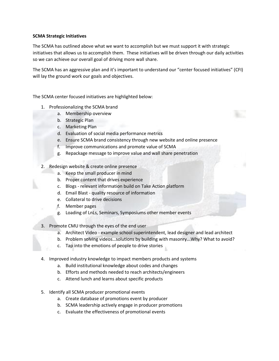## **SCMA Strategic Initiatives**

The SCMA has outlined above what we want to accomplish but we must support it with strategic initiatives that allows us to accomplish them. These initiatives will be driven through our daily activities so we can achieve our overall goal of driving more wall share.

The SCMA has an aggressive plan and it's important to understand our "center focused initiatives" (CFI) will lay the ground work our goals and objectives.

The SCMA center focused initiatives are highlighted below:

- 1. Professionalizing the SCMA brand
	- a. Membership overview
	- b. Strategic Plan
	- c. Marketing Plan
	- d. Evaluation of social media performance metrics
	- e. Ensure SCMA brand consistency through new website and online presence
	- f. Improve communications and promote value of SCMA
	- g. Repackage message to improve value and wall share penetration
- 2. Redesign website & create online presence
	- a. Keep the small producer in mind
	- b. Proper content that drives experience
	- c. Blogs relevant information build on Take Action platform
	- d. Email Blast quality resource of information
	- e. Collateral to drive decisions
	- f. Member pages
	- g. Loading of LnLs, Seminars, Symposiums other member events
- 3. Promote CMU through the eyes of the end user
	- a. Architect Video example school superintendent, lead designer and lead architect
	- b. Problem solving videos…solutions by building with masonry...Why? What to avoid?
	- c. Tap into the emotions of people to drive stories
- 4. Improved industry knowledge to impact members products and systems
	- a. Build institutional knowledge about codes and changes
	- b. Efforts and methods needed to reach architects/engineers
	- c. Attend lunch and learns about specific products
- 5. Identify all SCMA producer promotional events
	- a. Create database of promotions event by producer
	- b. SCMA leadership actively engage in producer promotions
	- c. Evaluate the effectiveness of promotional events